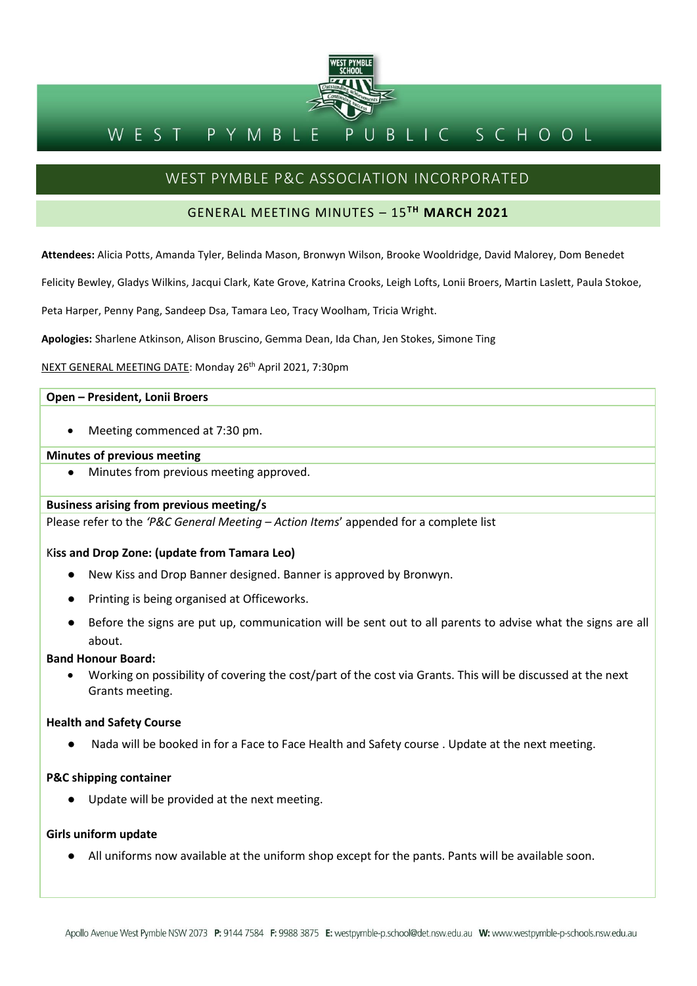

#### WEST PYMBL BLIC SCHOOL P

# WEST PYMBLE P&C ASSOCIATION INCORPORATED

# GENERAL MEETING MINUTES – 15**TH MARCH 2021**

**Attendees:** Alicia Potts, Amanda Tyler, Belinda Mason, Bronwyn Wilson, Brooke Wooldridge, David Malorey, Dom Benedet

Felicity Bewley, Gladys Wilkins, Jacqui Clark, Kate Grove, Katrina Crooks, Leigh Lofts, Lonii Broers, Martin Laslett, Paula Stokoe,

Peta Harper, Penny Pang, Sandeep Dsa, Tamara Leo, Tracy Woolham, Tricia Wright.

**Apologies:** Sharlene Atkinson, Alison Bruscino, Gemma Dean, Ida Chan, Jen Stokes, Simone Ting

NEXT GENERAL MEETING DATE: Monday 26th April 2021, 7:30pm

# **Open – President, Lonii Broers**

• Meeting commenced at 7:30 pm.

# **Minutes of previous meeting**

Minutes from previous meeting approved.

# **Business arising from previous meeting/s**

Please refer to the *'P&C General Meeting – Action Items*' appended for a complete list

# K**iss and Drop Zone: (update from Tamara Leo)**

- New Kiss and Drop Banner designed. Banner is approved by Bronwyn.
- Printing is being organised at Officeworks.
- Before the signs are put up, communication will be sent out to all parents to advise what the signs are all about.

## **Band Honour Board:**

• Working on possibility of covering the cost/part of the cost via Grants. This will be discussed at the next Grants meeting.

# **Health and Safety Course**

Nada will be booked in for a Face to Face Health and Safety course . Update at the next meeting.

# **P&C shipping container**

● Update will be provided at the next meeting.

## **Girls uniform update**

● All uniforms now available at the uniform shop except for the pants. Pants will be available soon.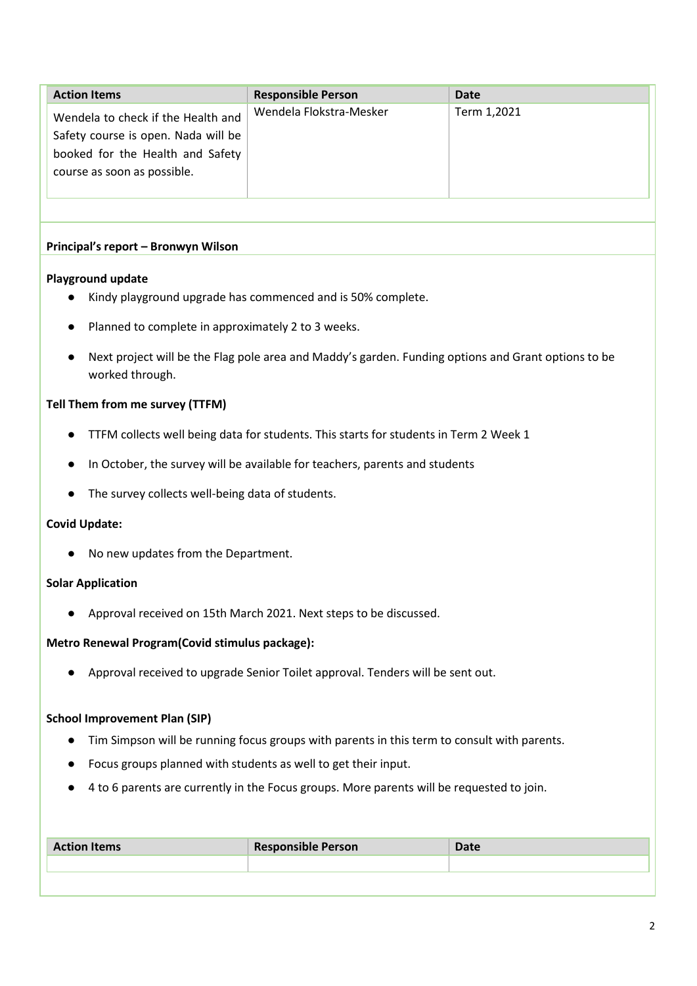| <b>Action Items</b>                                                                                                                          | <b>Responsible Person</b> | Date        |
|----------------------------------------------------------------------------------------------------------------------------------------------|---------------------------|-------------|
| Wendela to check if the Health and<br>Safety course is open. Nada will be<br>booked for the Health and Safety<br>course as soon as possible. | Wendela Flokstra-Mesker   | Term 1,2021 |

# **Principal's report – Bronwyn Wilson**

# **Playground update**

- Kindy playground upgrade has commenced and is 50% complete.
- Planned to complete in approximately 2 to 3 weeks.
- Next project will be the Flag pole area and Maddy's garden. Funding options and Grant options to be worked through.

# **Tell Them from me survey (TTFM)**

- TTFM collects well being data for students. This starts for students in Term 2 Week 1
- In October, the survey will be available for teachers, parents and students
- The survey collects well-being data of students.

# **Covid Update:**

● No new updates from the Department.

# **Solar Application**

● Approval received on 15th March 2021. Next steps to be discussed.

# **Metro Renewal Program(Covid stimulus package):**

● Approval received to upgrade Senior Toilet approval. Tenders will be sent out.

# **School Improvement Plan (SIP)**

- Tim Simpson will be running focus groups with parents in this term to consult with parents.
- Focus groups planned with students as well to get their input.
- 4 to 6 parents are currently in the Focus groups. More parents will be requested to join.

| <b>Action Items</b> | <b>Responsible Person</b> | Date |
|---------------------|---------------------------|------|
|                     |                           |      |
|                     |                           |      |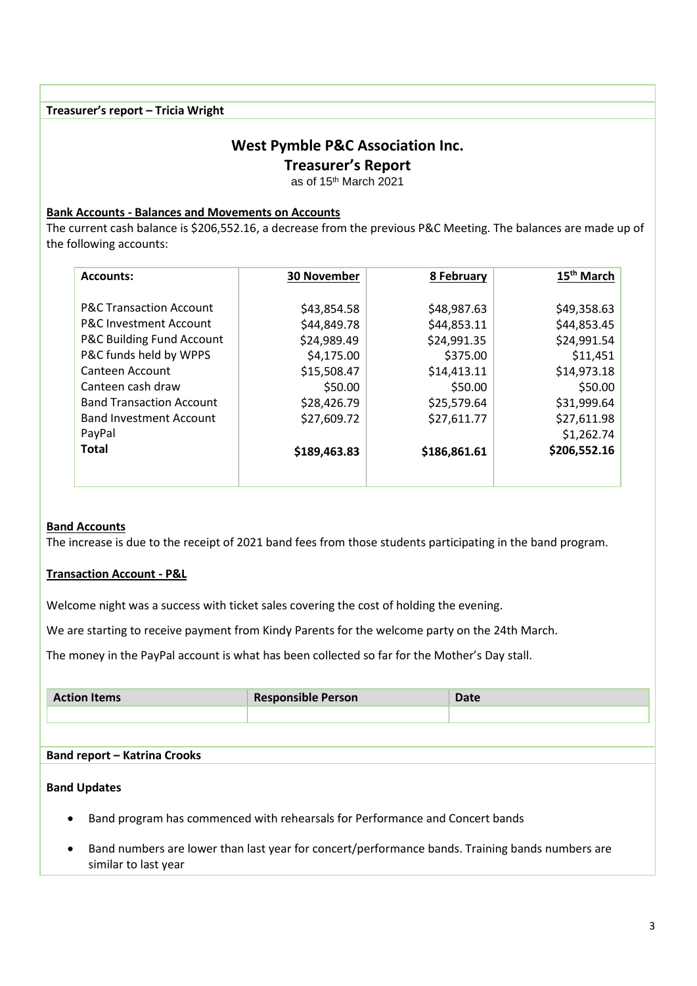# **Treasurer's report – Tricia Wright**

# **West Pymble P&C Association Inc.**

**Treasurer's Report**

as of 15th March 2021

# **Bank Accounts - Balances and Movements on Accounts**

The current cash balance is \$206,552.16, a decrease from the previous P&C Meeting. The balances are made up of the following accounts:

| <b>Accounts:</b>                   | <b>30 November</b> | 8 February   | 15 <sup>th</sup> March |
|------------------------------------|--------------------|--------------|------------------------|
|                                    |                    |              |                        |
| <b>P&amp;C Transaction Account</b> | \$43,854.58        | \$48,987.63  | \$49,358.63            |
| <b>P&amp;C Investment Account</b>  | \$44,849.78        | \$44,853.11  | \$44,853.45            |
| P&C Building Fund Account          | \$24,989.49        | \$24,991.35  | \$24,991.54            |
| P&C funds held by WPPS             | \$4,175.00         | \$375.00     | \$11,451               |
| Canteen Account                    | \$15,508.47        | \$14,413.11  | \$14,973.18            |
| Canteen cash draw                  | \$50.00            | \$50.00      | \$50.00                |
| <b>Band Transaction Account</b>    | \$28,426.79        | \$25,579.64  | \$31,999.64            |
| <b>Band Investment Account</b>     | \$27,609.72        | \$27,611.77  | \$27,611.98            |
| PayPal                             |                    |              | \$1,262.74             |
| <b>Total</b>                       | \$189,463.83       | \$186,861.61 | \$206,552.16           |
|                                    |                    |              |                        |
|                                    |                    |              |                        |

# **Band Accounts**

The increase is due to the receipt of 2021 band fees from those students participating in the band program.

# **Transaction Account - P&L**

Welcome night was a success with ticket sales covering the cost of holding the evening.

We are starting to receive payment from Kindy Parents for the welcome party on the 24th March.

The money in the PayPal account is what has been collected so far for the Mother's Day stall.

| <b>Action Items</b>                 | <b>Responsible Person</b> | <b>Date</b> |  |
|-------------------------------------|---------------------------|-------------|--|
|                                     |                           |             |  |
|                                     |                           |             |  |
| <b>Band report - Katrina Crooks</b> |                           |             |  |
|                                     |                           |             |  |
| <b>Band Updates</b>                 |                           |             |  |

- Band program has commenced with rehearsals for Performance and Concert bands
- Band numbers are lower than last year for concert/performance bands. Training bands numbers are similar to last year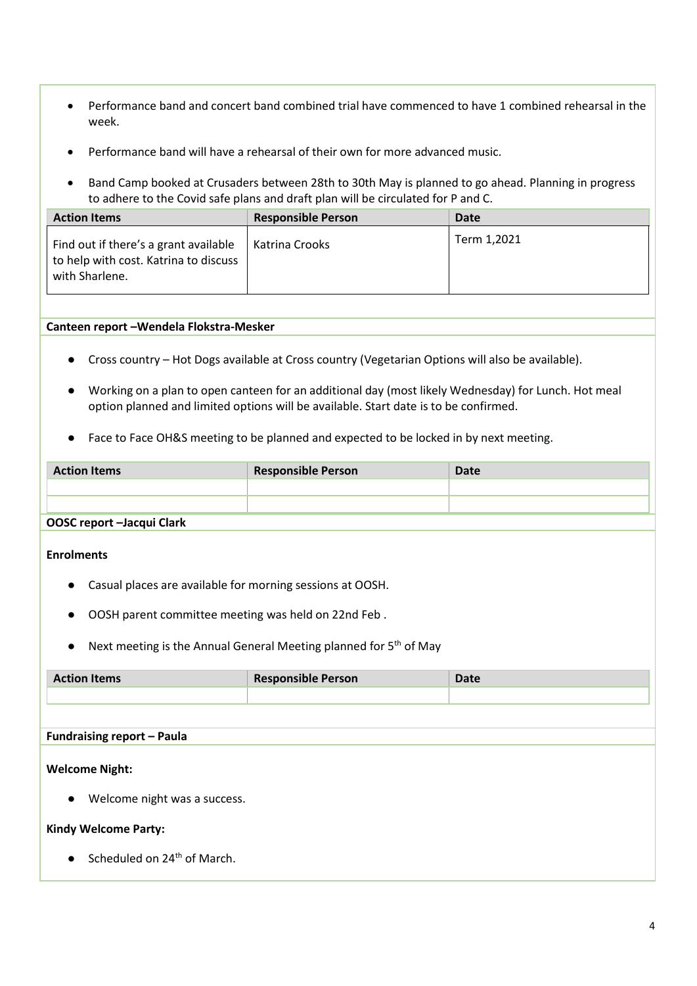- Performance band and concert band combined trial have commenced to have 1 combined rehearsal in the week.
- Performance band will have a rehearsal of their own for more advanced music.
- Band Camp booked at Crusaders between 28th to 30th May is planned to go ahead. Planning in progress to adhere to the Covid safe plans and draft plan will be circulated for P and C.

| <b>Action Items</b>                                                                              | <b>Responsible Person</b> | Date        |
|--------------------------------------------------------------------------------------------------|---------------------------|-------------|
| Find out if there's a grant available<br>to help with cost. Katrina to discuss<br>with Sharlene. | Katrina Crooks            | Term 1,2021 |

# **Canteen report –Wendela Flokstra-Mesker**

- Cross country Hot Dogs available at Cross country (Vegetarian Options will also be available).
- Working on a plan to open canteen for an additional day (most likely Wednesday) for Lunch. Hot meal option planned and limited options will be available. Start date is to be confirmed.
- Face to Face OH&S meeting to be planned and expected to be locked in by next meeting.

| <b>Action Items</b> | <b>Responsible Person</b> | Date |
|---------------------|---------------------------|------|
|                     |                           |      |
|                     |                           |      |
| OOCCHARAH LAAMICLAR |                           |      |

# **OOSC report –Jacqui Clark**

## **Enrolments**

- Casual places are available for morning sessions at OOSH.
- OOSH parent committee meeting was held on 22nd Feb .
- Next meeting is the Annual General Meeting planned for 5<sup>th</sup> of May

| <b>Action Items</b> | <b>Responsible Person</b> | <b>Date</b> |
|---------------------|---------------------------|-------------|
|                     |                           |             |

# **Fundraising report – Paula**

# **Welcome Night:**

● Welcome night was a success.

# **Kindy Welcome Party:**

 $\bullet$  Scheduled on 24<sup>th</sup> of March.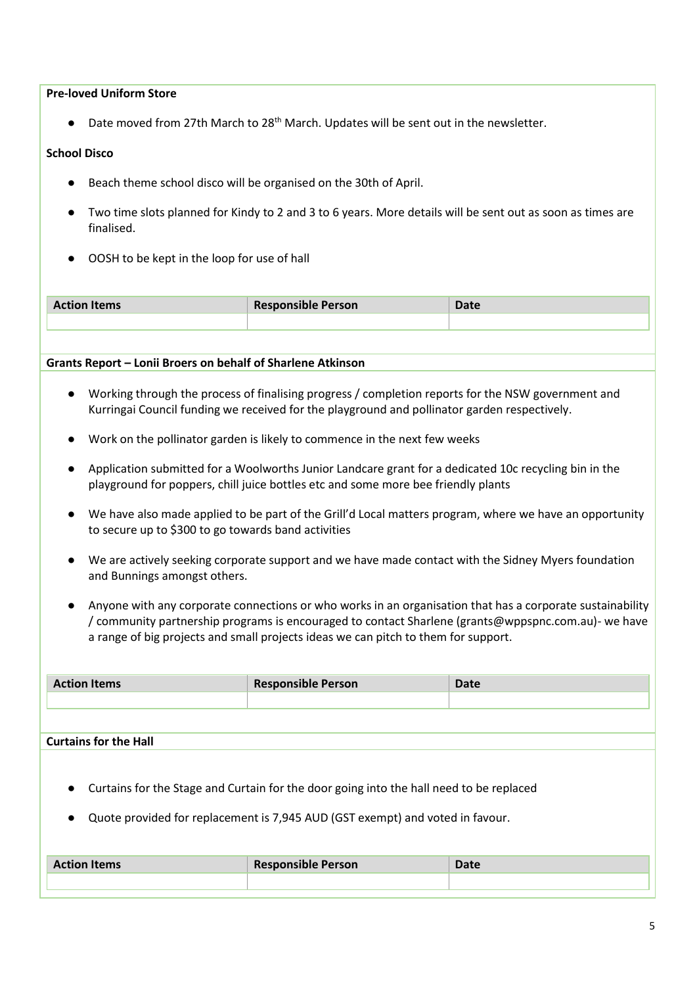# **Pre-loved Uniform Store**

● Date moved from 27th March to 28<sup>th</sup> March. Updates will be sent out in the newsletter.

# **School Disco**

- Beach theme school disco will be organised on the 30th of April.
- Two time slots planned for Kindy to 2 and 3 to 6 years. More details will be sent out as soon as times are finalised.
- OOSH to be kept in the loop for use of hall

| <b>Action Items</b> | <b>Responsible Person</b> | n<br>vale |
|---------------------|---------------------------|-----------|
|                     |                           |           |
|                     |                           |           |

# **Grants Report – Lonii Broers on behalf of Sharlene Atkinson**

- Working through the process of finalising progress / completion reports for the NSW government and Kurringai Council funding we received for the playground and pollinator garden respectively.
- Work on the pollinator garden is likely to commence in the next few weeks
- Application submitted for a Woolworths Junior Landcare grant for a dedicated 10c recycling bin in the playground for poppers, chill juice bottles etc and some more bee friendly plants
- We have also made applied to be part of the Grill'd Local matters program, where we have an opportunity to secure up to \$300 to go towards band activities
- We are actively seeking corporate support and we have made contact with the Sidney Myers foundation and Bunnings amongst others.
- Anyone with any corporate connections or who works in an organisation that has a corporate sustainability / community partnership programs is encouraged to contact Sharlene (grants@wppspnc.com.au)- we have a range of big projects and small projects ideas we can pitch to them for support.

| <b>Action Items</b> | <b>Responsible Person</b> | Date |
|---------------------|---------------------------|------|
|                     |                           |      |
|                     |                           |      |

## **Curtains for the Hall**

- Curtains for the Stage and Curtain for the door going into the hall need to be replaced
- Quote provided for replacement is 7,945 AUD (GST exempt) and voted in favour.

| <b>Action Items</b> | <b>Responsible Person</b> | Dota -<br>sale |
|---------------------|---------------------------|----------------|
|                     |                           |                |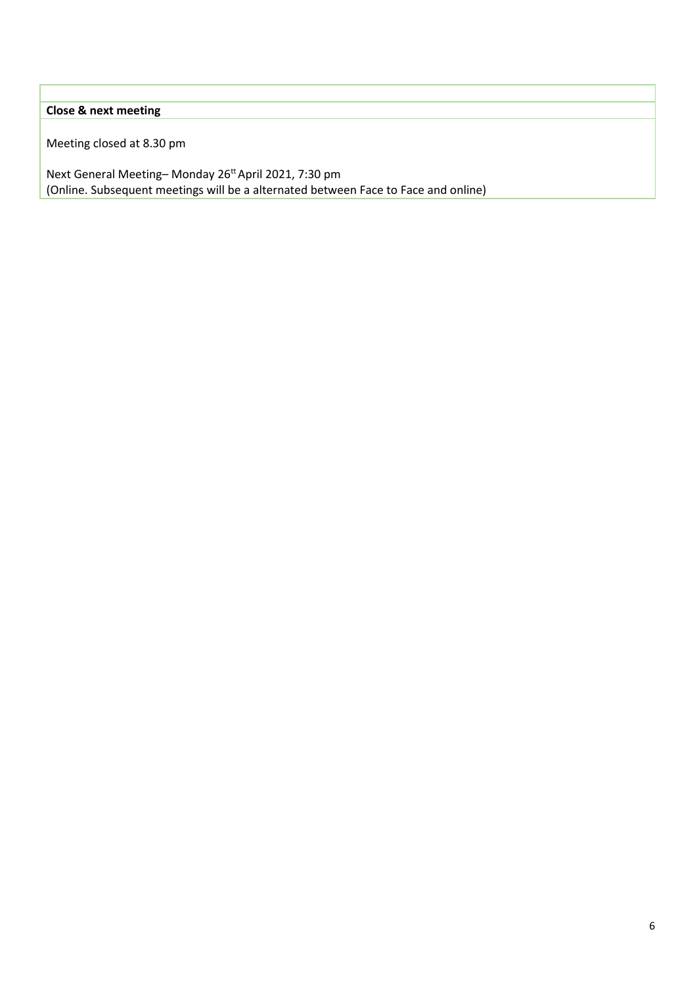# **Close & next meeting**

Meeting closed at 8.30 pm

Next General Meeting-Monday 26<sup>tt</sup> April 2021, 7:30 pm (Online. Subsequent meetings will be a alternated between Face to Face and online)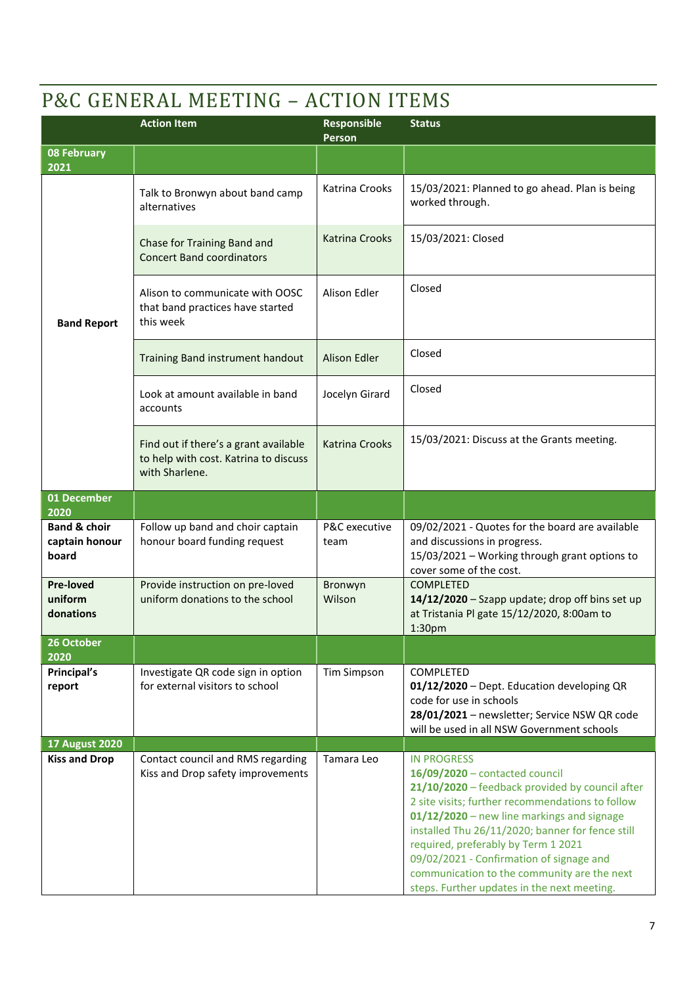# P&C GENERAL MEETING – ACTION ITEMS

|                                                    | <b>Action Item</b>                                                                               | Responsible<br>Person | <b>Status</b>                                                                                                                                                                                                                                                                                                                                                                                                                                  |
|----------------------------------------------------|--------------------------------------------------------------------------------------------------|-----------------------|------------------------------------------------------------------------------------------------------------------------------------------------------------------------------------------------------------------------------------------------------------------------------------------------------------------------------------------------------------------------------------------------------------------------------------------------|
| <b>08 February</b><br>2021                         |                                                                                                  |                       |                                                                                                                                                                                                                                                                                                                                                                                                                                                |
|                                                    | Talk to Bronwyn about band camp<br>alternatives                                                  | Katrina Crooks        | 15/03/2021: Planned to go ahead. Plan is being<br>worked through.                                                                                                                                                                                                                                                                                                                                                                              |
|                                                    | Chase for Training Band and<br><b>Concert Band coordinators</b>                                  | <b>Katrina Crooks</b> | 15/03/2021: Closed                                                                                                                                                                                                                                                                                                                                                                                                                             |
| <b>Band Report</b>                                 | Alison to communicate with OOSC<br>that band practices have started<br>this week                 | Alison Edler          | Closed                                                                                                                                                                                                                                                                                                                                                                                                                                         |
|                                                    | Training Band instrument handout                                                                 | <b>Alison Edler</b>   | Closed                                                                                                                                                                                                                                                                                                                                                                                                                                         |
|                                                    | Look at amount available in band<br>accounts                                                     | Jocelyn Girard        | Closed                                                                                                                                                                                                                                                                                                                                                                                                                                         |
|                                                    | Find out if there's a grant available<br>to help with cost. Katrina to discuss<br>with Sharlene. | <b>Katrina Crooks</b> | 15/03/2021: Discuss at the Grants meeting.                                                                                                                                                                                                                                                                                                                                                                                                     |
| 01 December<br>2020                                |                                                                                                  |                       |                                                                                                                                                                                                                                                                                                                                                                                                                                                |
| <b>Band &amp; choir</b><br>captain honour<br>board | Follow up band and choir captain<br>honour board funding request                                 | P&C executive<br>team | 09/02/2021 - Quotes for the board are available<br>and discussions in progress.<br>15/03/2021 - Working through grant options to<br>cover some of the cost.                                                                                                                                                                                                                                                                                    |
| <b>Pre-loved</b><br>uniform<br>donations           | Provide instruction on pre-loved<br>uniform donations to the school                              | Bronwyn<br>Wilson     | <b>COMPLETED</b><br>14/12/2020 - Szapp update; drop off bins set up<br>at Tristania Pl gate 15/12/2020, 8:00am to<br>1:30pm                                                                                                                                                                                                                                                                                                                    |
| 26 October<br>2020                                 |                                                                                                  |                       |                                                                                                                                                                                                                                                                                                                                                                                                                                                |
| Principal's<br>report                              | Investigate QR code sign in option<br>for external visitors to school                            | <b>Tim Simpson</b>    | COMPLETED<br>01/12/2020 - Dept. Education developing QR<br>code for use in schools<br>28/01/2021 - newsletter; Service NSW QR code<br>will be used in all NSW Government schools                                                                                                                                                                                                                                                               |
| <b>17 August 2020</b>                              |                                                                                                  |                       |                                                                                                                                                                                                                                                                                                                                                                                                                                                |
| <b>Kiss and Drop</b>                               | Contact council and RMS regarding<br>Kiss and Drop safety improvements                           | Tamara Leo            | <b>IN PROGRESS</b><br>16/09/2020 - contacted council<br>21/10/2020 - feedback provided by council after<br>2 site visits; further recommendations to follow<br>01/12/2020 - new line markings and signage<br>installed Thu 26/11/2020; banner for fence still<br>required, preferably by Term 1 2021<br>09/02/2021 - Confirmation of signage and<br>communication to the community are the next<br>steps. Further updates in the next meeting. |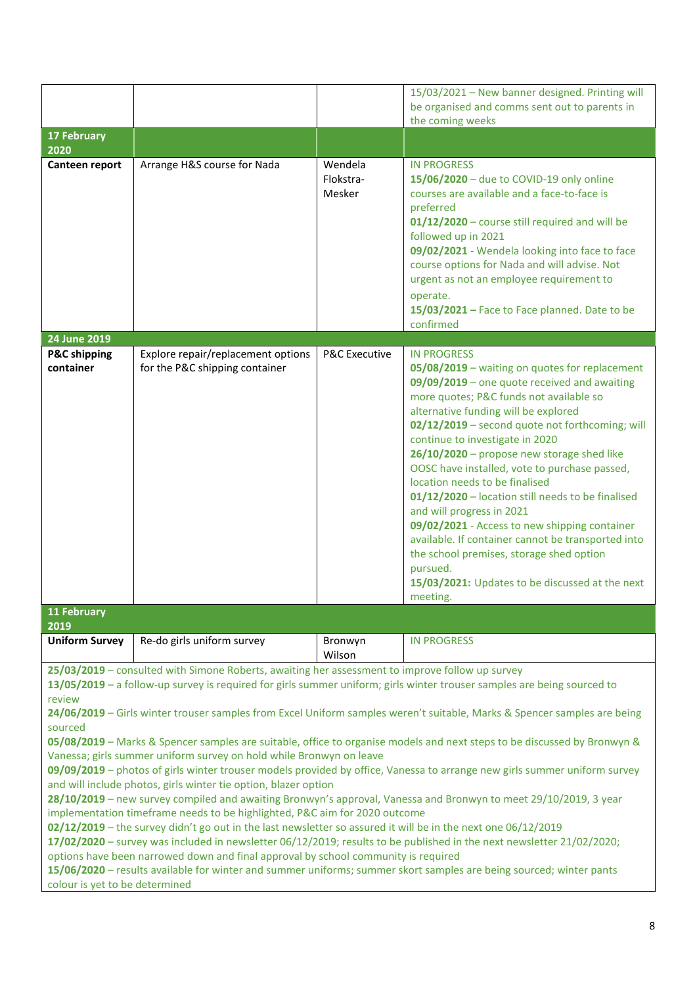|                                |                                                                  | 15/03/2021 - New banner designed. Printing will                                                                                                                                                                                                                                                                                                                                                                                                                                                                                                                                                                                                                                                                                                                                                                                                                                                                                                                                                                                                                                                                                                                                                                                                                                                                                              |
|--------------------------------|------------------------------------------------------------------|----------------------------------------------------------------------------------------------------------------------------------------------------------------------------------------------------------------------------------------------------------------------------------------------------------------------------------------------------------------------------------------------------------------------------------------------------------------------------------------------------------------------------------------------------------------------------------------------------------------------------------------------------------------------------------------------------------------------------------------------------------------------------------------------------------------------------------------------------------------------------------------------------------------------------------------------------------------------------------------------------------------------------------------------------------------------------------------------------------------------------------------------------------------------------------------------------------------------------------------------------------------------------------------------------------------------------------------------|
|                                |                                                                  | be organised and comms sent out to parents in<br>the coming weeks                                                                                                                                                                                                                                                                                                                                                                                                                                                                                                                                                                                                                                                                                                                                                                                                                                                                                                                                                                                                                                                                                                                                                                                                                                                                            |
|                                |                                                                  |                                                                                                                                                                                                                                                                                                                                                                                                                                                                                                                                                                                                                                                                                                                                                                                                                                                                                                                                                                                                                                                                                                                                                                                                                                                                                                                                              |
| Arrange H&S course for Nada    | Wendela<br>Flokstra-<br>Mesker                                   | <b>IN PROGRESS</b><br>15/06/2020 - due to COVID-19 only online<br>courses are available and a face-to-face is<br>preferred<br>01/12/2020 - course still required and will be<br>followed up in 2021<br>09/02/2021 - Wendela looking into face to face<br>course options for Nada and will advise. Not<br>urgent as not an employee requirement to<br>operate.<br>15/03/2021 - Face to Face planned. Date to be<br>confirmed                                                                                                                                                                                                                                                                                                                                                                                                                                                                                                                                                                                                                                                                                                                                                                                                                                                                                                                  |
|                                |                                                                  | <b>IN PROGRESS</b>                                                                                                                                                                                                                                                                                                                                                                                                                                                                                                                                                                                                                                                                                                                                                                                                                                                                                                                                                                                                                                                                                                                                                                                                                                                                                                                           |
| for the P&C shipping container |                                                                  | 05/08/2019 - waiting on quotes for replacement<br>09/09/2019 - one quote received and awaiting<br>more quotes; P&C funds not available so<br>alternative funding will be explored<br>02/12/2019 - second quote not forthcoming; will<br>continue to investigate in 2020<br>26/10/2020 - propose new storage shed like<br>OOSC have installed, vote to purchase passed,<br>location needs to be finalised<br>01/12/2020 - location still needs to be finalised<br>and will progress in 2021<br>09/02/2021 - Access to new shipping container<br>available. If container cannot be transported into<br>the school premises, storage shed option<br>pursued.<br>15/03/2021: Updates to be discussed at the next<br>meeting.                                                                                                                                                                                                                                                                                                                                                                                                                                                                                                                                                                                                                     |
|                                |                                                                  |                                                                                                                                                                                                                                                                                                                                                                                                                                                                                                                                                                                                                                                                                                                                                                                                                                                                                                                                                                                                                                                                                                                                                                                                                                                                                                                                              |
|                                |                                                                  |                                                                                                                                                                                                                                                                                                                                                                                                                                                                                                                                                                                                                                                                                                                                                                                                                                                                                                                                                                                                                                                                                                                                                                                                                                                                                                                                              |
|                                |                                                                  | <b>IN PROGRESS</b>                                                                                                                                                                                                                                                                                                                                                                                                                                                                                                                                                                                                                                                                                                                                                                                                                                                                                                                                                                                                                                                                                                                                                                                                                                                                                                                           |
|                                |                                                                  |                                                                                                                                                                                                                                                                                                                                                                                                                                                                                                                                                                                                                                                                                                                                                                                                                                                                                                                                                                                                                                                                                                                                                                                                                                                                                                                                              |
|                                | Explore repair/replacement options<br>Re-do girls uniform survey | <b>P&amp;C Executive</b><br>Bronwyn<br>Wilson<br>25/03/2019 - consulted with Simone Roberts, awaiting her assessment to improve follow up survey<br>13/05/2019 - a follow-up survey is required for girls summer uniform; girls winter trouser samples are being sourced to<br>24/06/2019 - Girls winter trouser samples from Excel Uniform samples weren't suitable, Marks & Spencer samples are being<br>05/08/2019 - Marks & Spencer samples are suitable, office to organise models and next steps to be discussed by Bronwyn &<br>Vanessa; girls summer uniform survey on hold while Bronwyn on leave<br>09/09/2019 - photos of girls winter trouser models provided by office, Vanessa to arrange new girls summer uniform survey<br>and will include photos, girls winter tie option, blazer option<br>28/10/2019 - new survey compiled and awaiting Bronwyn's approval, Vanessa and Bronwyn to meet 29/10/2019, 3 year<br>implementation timeframe needs to be highlighted, P&C aim for 2020 outcome<br>02/12/2019 - the survey didn't go out in the last newsletter so assured it will be in the next one 06/12/2019<br>17/02/2020 - survey was included in newsletter 06/12/2019; results to be published in the next newsletter 21/02/2020;<br>options have been narrowed down and final approval by school community is required |